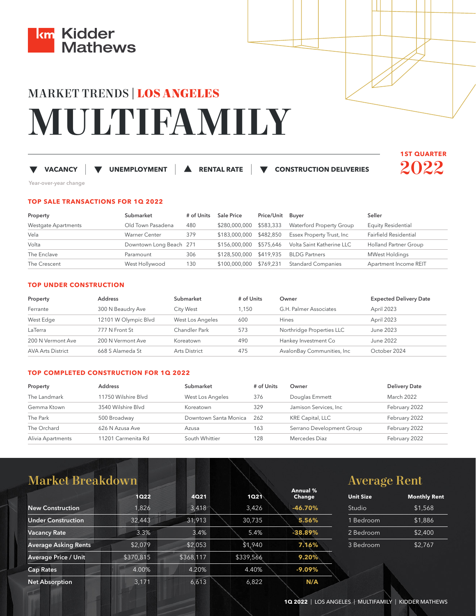

# MARKET TRENDS | **LOS ANGELES MULTIFAMILY**

## **VACANCY |**

 **UNEMPLOYMENT |**

 **RENTAL RATE |**

 **CONSTRUCTION DELIVERIES** 



Year-over-year change

## **TOP SALE TRANSACTIONS FOR 1Q 2022**

| Property            | Submarket               | # of Units | <b>Sale Price</b>                     | Price/Unit Buyer |                                                   | Seller                    |
|---------------------|-------------------------|------------|---------------------------------------|------------------|---------------------------------------------------|---------------------------|
| Westgate Apartments | Old Town Pasadena       | 480        | \$280,000,000 \$583,333               |                  | Waterford Property Group                          | <b>Equity Residential</b> |
| Vela                | <b>Warner Center</b>    | 379        | \$183,000,000 \$482,850               |                  | Essex Property Trust, Inc                         | Fairfield Residential     |
| Volta               | Downtown Long Beach 271 |            |                                       |                  | \$156,000,000 \$575,646 Volta Saint Katherine LLC | Holland Partner Group     |
| The Enclave         | Paramount               | 306        | \$128,500,000 \$419,935 BLDG Partners |                  |                                                   | <b>MWest Holdings</b>     |
| The Crescent        | West Hollywood          | 130        | \$100,000,000 \$769,231               |                  | <b>Standard Companies</b>                         | Apartment Income REIT     |

## **TOP UNDER CONSTRUCTION**

| Property                 | <b>Address</b>       | Submarket        | # of Units | Owner                       | <b>Expected Delivery Date</b> |
|--------------------------|----------------------|------------------|------------|-----------------------------|-------------------------------|
| Ferrante                 | 300 N Beaudry Ave    | City West        | 1.150      | G.H. Palmer Associates      | April 2023                    |
| West Edge                | 12101 W Olympic Blvd | West Los Angeles | 600        | <b>Hines</b>                | April 2023                    |
| LaTerra                  | 777 N Front St       | Chandler Park    | 573        | Northridge Properties LLC   | June 2023                     |
| 200 N Vermont Ave        | 200 N Vermont Ave    | Koreatown        | 490        | Hankey Investment Co        | June 2022                     |
| <b>AVA Arts District</b> | 668 S Alameda St     | Arts District    | 475        | AvalonBay Communities, Inc. | October 2024                  |

## **TOP COMPLETED CONSTRUCTION FOR 1Q 2022**

| Property          | <b>Address</b>      | Submarket             | # of Units | Owner                     | <b>Delivery Date</b> |
|-------------------|---------------------|-----------------------|------------|---------------------------|----------------------|
| The Landmark      | 11750 Wilshire Blyd | West Los Angeles      | 376        | Douglas Emmett            | March 2022           |
| Gemma Ktown       | 3540 Wilshire Blvd  | Koreatown             | 329        | Jamison Services, Inc.    | February 2022        |
| The Park          | 500 Broadway        | Downtown Santa Monica | 262        | <b>KRE Capital, LLC</b>   | February 2022        |
| The Orchard       | 626 N Azusa Ave     | Azusa                 | 163        | Serrano Development Group | February 2022        |
| Alivia Apartments | 11201 Carmenita Rd  | South Whittier        | 28         | Mercedes Diaz             | February 2022        |

| <b>Market Breakdown</b>     |           |           |           |                           |                  | <b>Average Rent</b> |  |
|-----------------------------|-----------|-----------|-----------|---------------------------|------------------|---------------------|--|
|                             | 1022      | 4021      | 1021      | Annual %<br><b>Change</b> | <b>Unit Size</b> | <b>Monthly Rent</b> |  |
| <b>New Construction</b>     | 1.826     | 3,418     | 3,426     | $-46.70%$                 | Studio           | \$1,568             |  |
| <b>Under Construction</b>   | 32,443    | 31.913    | 30,735    | 5.56%                     | <b>Bedroom</b>   | \$1,886             |  |
| <b>Vacancy Rate</b>         | 3.3%      | 3.4%      | 5.4%      | $-38.89%$                 | 2 Bedroom        | \$2,400             |  |
| <b>Average Asking Rents</b> | \$2,079   | \$2,053   | \$1,940   | 7.16%                     | 3 Bedroom        | \$2,767             |  |
| <b>Average Price / Unit</b> | \$370,815 | \$368,117 | \$339,566 | 9.20%                     |                  |                     |  |
| <b>Cap Rates</b>            | 4.00%     | 4.20%     | 4.40%     | $-9.09%$                  |                  |                     |  |
| <b>Net Absorption</b>       | 3,171     | 6,613     | 6,822     | N/A                       |                  |                     |  |